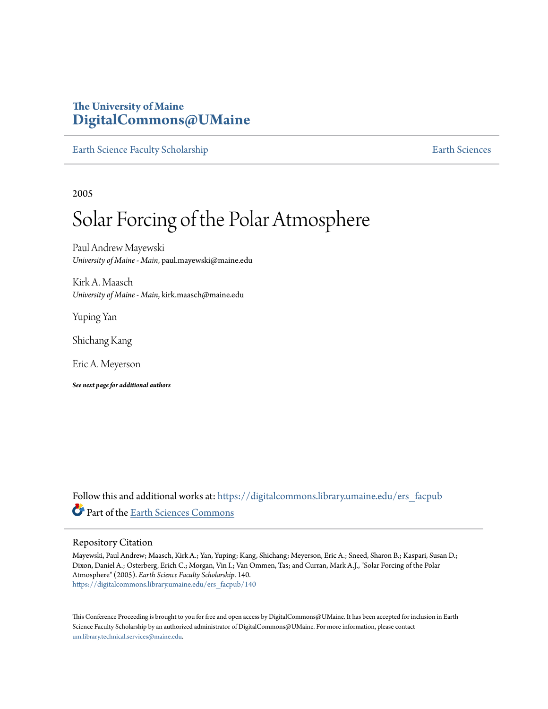# **The University of Maine [DigitalCommons@UMaine](https://digitalcommons.library.umaine.edu?utm_source=digitalcommons.library.umaine.edu%2Fers_facpub%2F140&utm_medium=PDF&utm_campaign=PDFCoverPages)**

[Earth Science Faculty Scholarship](https://digitalcommons.library.umaine.edu/ers_facpub?utm_source=digitalcommons.library.umaine.edu%2Fers_facpub%2F140&utm_medium=PDF&utm_campaign=PDFCoverPages) **[Earth Sciences](https://digitalcommons.library.umaine.edu/ers?utm_source=digitalcommons.library.umaine.edu%2Fers_facpub%2F140&utm_medium=PDF&utm_campaign=PDFCoverPages)** 

2005

# Solar Forcing of the Polar Atmosphere

Paul Andrew Mayewski *University of Maine - Main*, paul.mayewski@maine.edu

Kirk A. Maasch *University of Maine - Main*, kirk.maasch@maine.edu

Yuping Yan

Shichang Kang

Eric A. Meyerson

*See next page for additional authors*

Follow this and additional works at: [https://digitalcommons.library.umaine.edu/ers\\_facpub](https://digitalcommons.library.umaine.edu/ers_facpub?utm_source=digitalcommons.library.umaine.edu%2Fers_facpub%2F140&utm_medium=PDF&utm_campaign=PDFCoverPages) Part of the [Earth Sciences Commons](http://network.bepress.com/hgg/discipline/153?utm_source=digitalcommons.library.umaine.edu%2Fers_facpub%2F140&utm_medium=PDF&utm_campaign=PDFCoverPages)

## Repository Citation

Mayewski, Paul Andrew; Maasch, Kirk A.; Yan, Yuping; Kang, Shichang; Meyerson, Eric A.; Sneed, Sharon B.; Kaspari, Susan D.; Dixon, Daniel A.; Osterberg, Erich C.; Morgan, Vin I.; Van Ommen, Tas; and Curran, Mark A.J., "Solar Forcing of the Polar Atmosphere" (2005). *Earth Science Faculty Scholarship*. 140. [https://digitalcommons.library.umaine.edu/ers\\_facpub/140](https://digitalcommons.library.umaine.edu/ers_facpub/140?utm_source=digitalcommons.library.umaine.edu%2Fers_facpub%2F140&utm_medium=PDF&utm_campaign=PDFCoverPages)

This Conference Proceeding is brought to you for free and open access by DigitalCommons@UMaine. It has been accepted for inclusion in Earth Science Faculty Scholarship by an authorized administrator of DigitalCommons@UMaine. For more information, please contact [um.library.technical.services@maine.edu](mailto:um.library.technical.services@maine.edu).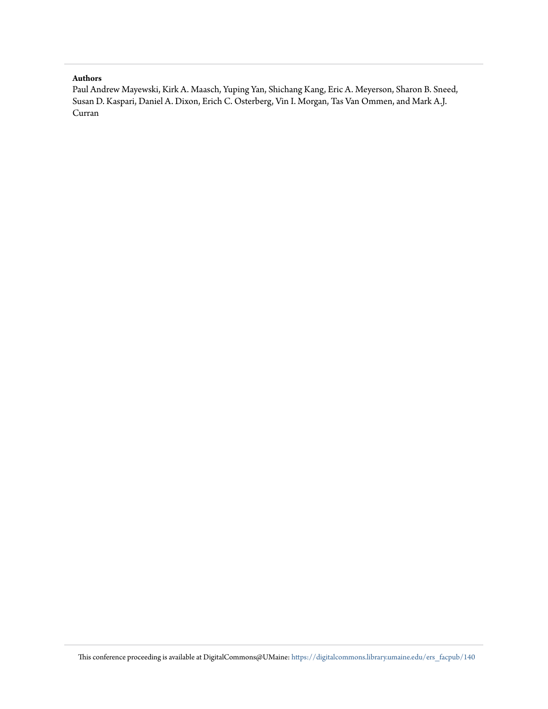### **Authors**

Paul Andrew Mayewski, Kirk A. Maasch, Yuping Yan, Shichang Kang, Eric A. Meyerson, Sharon B. Sneed, Susan D. Kaspari, Daniel A. Dixon, Erich C. Osterberg, Vin I. Morgan, Tas Van Ommen, and Mark A.J. Curran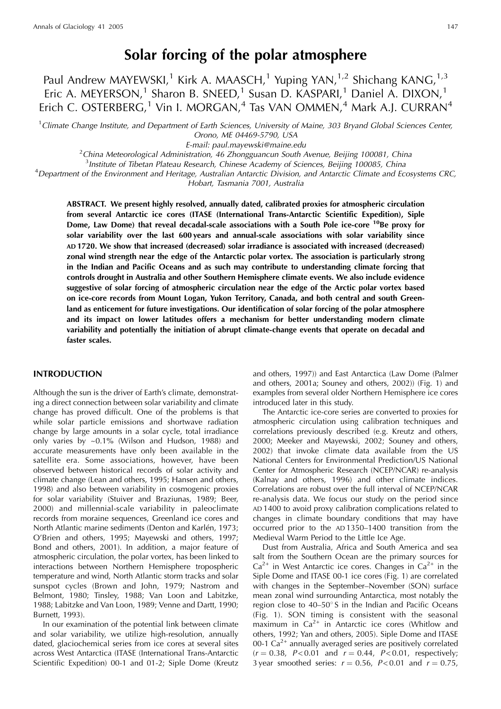# Solar forcing of the polar atmosphere

Paul Andrew MAYEWSKI,<sup>1</sup> Kirk A. MAASCH,<sup>1</sup> Yuping YAN,<sup>1,2</sup> Shichang KANG,<sup>1,3</sup> Eric A. MEYERSON,<sup>1</sup> Sharon B. SNEED,<sup>1</sup> Susan D. KASPARI,<sup>1</sup> Daniel A. DIXON,<sup>1</sup> Erich C. OSTERBERG,<sup>1</sup> Vin I. MORGAN,<sup>4</sup> Tas VAN OMMEN,<sup>4</sup> Mark A.J. CURRAN<sup>4</sup>

 $1$ Climate Change Institute, and Department of Earth Sciences, University of Maine, 303 Bryand Global Sciences Center, Orono, ME 04469-5790, USA

E-mail: paul.mayewski@maine.edu

 ${}^{2}$ China Meteorological Administration, 46 Zhongguancun South Avenue, Beijing 100081, China

<sup>3</sup>Institute of Tibetan Plateau Research, Chinese Academy of Sciences, Beijing 100085, China

<sup>4</sup>Department of the Environment and Heritage, Australian Antarctic Division, and Antarctic Climate and Ecosystems CRC,

Hobart, Tasmania 7001, Australia

ABSTRACT. We present highly resolved, annually dated, calibrated proxies for atmospheric circulation from several Antarctic ice cores (ITASE (International Trans-Antarctic Scientific Expedition), Siple Dome, Law Dome) that reveal decadal-scale associations with a South Pole ice-core <sup>10</sup>Be proxy for solar variability over the last 600 years and annual-scale associations with solar variability since AD 1720. We show that increased (decreased) solar irradiance is associated with increased (decreased) zonal wind strength near the edge of the Antarctic polar vortex. The association is particularly strong in the Indian and Pacific Oceans and as such may contribute to understanding climate forcing that controls drought in Australia and other Southern Hemisphere climate events. We also include evidence suggestive of solar forcing of atmospheric circulation near the edge of the Arctic polar vortex based on ice-core records from Mount Logan, Yukon Territory, Canada, and both central and south Greenland as enticement for future investigations. Our identification of solar forcing of the polar atmosphere and its impact on lower latitudes offers a mechanism for better understanding modern climate variability and potentially the initiation of abrupt climate-change events that operate on decadal and faster scales.

#### **INTRODUCTION**

Although the sun is the driver of Earth's climate, demonstrating a direct connection between solar variability and climate change has proved difficult. One of the problems is that while solar particle emissions and shortwave radiation change by large amounts in a solar cycle, total irradiance only varies by ~0.1% (Wilson and Hudson, 1988) and accurate measurements have only been available in the satellite era. Some associations, however, have been observed between historical records of solar activity and climate change (Lean and others, 1995; Hansen and others, 1998) and also between variability in cosmogenic proxies for solar variability (Stuiver and Braziunas, 1989; Beer, 2000) and millennial-scale variability in paleoclimate records from moraine sequences, Greenland ice cores and North Atlantic marine sediments (Denton and Karlén, 1973; O'Brien and others, 1995; Mayewski and others, 1997; Bond and others, 2001). In addition, a major feature of atmospheric circulation, the polar vortex, has been linked to interactions between Northern Hemisphere tropospheric temperature and wind, North Atlantic storm tracks and solar sunspot cycles (Brown and John, 1979; Nastrom and Belmont, 1980; Tinsley, 1988; Van Loon and Labitzke, 1988; Labitzke and Van Loon, 1989; Venne and Dartt, 1990; Burnett, 1993).

In our examination of the potential link between climate and solar variability, we utilize high-resolution, annually dated, glaciochemical series from ice cores at several sites across West Antarctica (ITASE (International Trans-Antarctic Scientific Expedition) 00-1 and 01-2; Siple Dome (Kreutz and others, 1997)) and East Antarctica (Law Dome (Palmer and others, 2001a; Souney and others, 2002)) (Fig. 1) and examples from several older Northern Hemisphere ice cores introduced later in this study.

The Antarctic ice-core series are converted to proxies for atmospheric circulation using calibration techniques and correlations previously described (e.g. Kreutz and others, 2000; Meeker and Mayewski, 2002; Souney and others, 2002) that invoke climate data available from the US National Centers for Environmental Prediction/US National Center for Atmospheric Research (NCEP/NCAR) re-analysis (Kalnay and others, 1996) and other climate indices. Correlations are robust over the full interval of NCEP/NCAR re-analysis data. We focus our study on the period since AD 1400 to avoid proxy calibration complications related to changes in climate boundary conditions that may have occurred prior to the AD1350-1400 transition from the Medieval Warm Period to the Little Ice Age.

Dust from Australia, Africa and South America and sea salt from the Southern Ocean are the primary sources for  $Ca^{2+}$  in West Antarctic ice cores. Changes in  $Ca^{2+}$  in the Siple Dome and ITASE 00-1 ice cores (Fig. 1) are correlated with changes in the September-November (SON) surface mean zonal wind surrounding Antarctica, most notably the region close to 40-50° S in the Indian and Pacific Oceans (Fig. 1). SON timing is consistent with the seasonal maximum in  $Ca^{2+}$  in Antarctic ice cores (Whitlow and others, 1992; Yan and others, 2005). Siple Dome and ITASE 00-1  $Ca^{2+}$  annually averaged series are positively correlated  $(r = 0.38, P < 0.01$  and  $r = 0.44, P < 0.01$ , respectively; 3 year smoothed series:  $r = 0.56$ ,  $P < 0.01$  and  $r = 0.75$ ,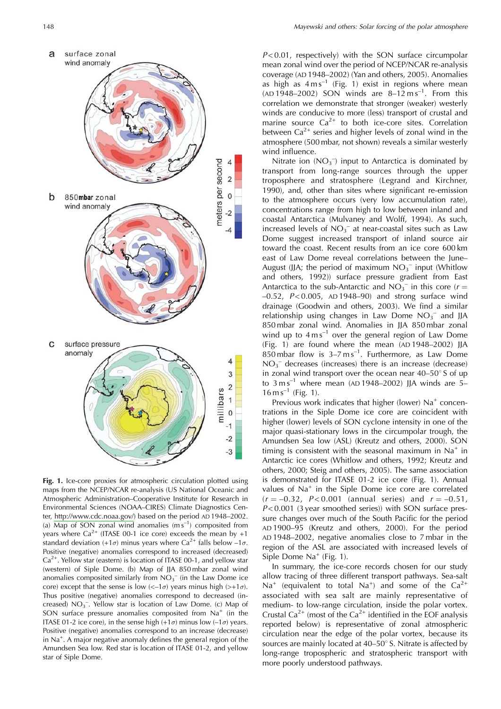

Fig. 1. Ice-core proxies for atmospheric circulation plotted using maps from the NCEP/NCAR re-analysis (US National Oceanic and Atmospheric Administration–Cooperative Institute for Research in Environmental Sciences (NOAA-CIRES) Climate Diagnostics Center, http://www.cdc.noaa.gov/) based on the period AD 1948-2002. (a) Map of SON zonal wind anomalies  $(m s^{-1})$  composited from years where  $Ca^{2+}$  (ITASE 00-1 ice core) exceeds the mean by +1 standard deviation (+1 $\sigma$ ) minus years where Ca<sup>2+</sup> falls below -1 $\sigma$ . Positive (negative) anomalies correspond to increased (decreased)  $Ca<sup>2+</sup>$ . Yellow star (eastern) is location of ITASE 00-1, and yellow star (western) of Siple Dome. (b) Map of JJA 850 mbar zonal wind anomalies composited similarly from  $NO<sub>3</sub><sup>-</sup>$  (in the Law Dome ice core) except that the sense is low  $\left(\langle -1\sigma \rangle\right)$  years minus high  $\left(\rangle +1\sigma\right)$ . Thus positive (negative) anomalies correspond to decreased (increased)  $NO<sub>3</sub>^-$ . Yellow star is location of Law Dome. (c) Map of SON surface pressure anomalies composited from Na<sup>+</sup> (in the ITASE 01-2 ice core), in the sense high  $(+1\sigma)$  minus low  $(-1\sigma)$  years. Positive (negative) anomalies correspond to an increase (decrease) in  $Na<sup>+</sup>$ . A major negative anomaly defines the general region of the Amundsen Sea low. Red star is location of ITASE 01-2, and yellow star of Siple Dome.

 $P<0.01$ , respectively) with the SON surface circumpolar mean zonal wind over the period of NCEP/NCAR re-analysis coverage (AD 1948-2002) (Yan and others, 2005). Anomalies as high as  $4 \text{ m s}^{-1}$  (Fig. 1) exist in regions where mean (AD 1948-2002) SON winds are  $8-12 \text{ m s}^{-1}$ . From this correlation we demonstrate that stronger (weaker) westerly winds are conducive to more (less) transport of crustal and marine source  $Ca^{2+}$  to both ice-core sites. Correlation between  $Ca^{2+}$  series and higher levels of zonal wind in the atmosphere (500 mbar, not shown) reveals a similar westerly wind influence.

Nitrate ion  $(NO_3^-)$  input to Antarctica is dominated by transport from long-range sources through the upper troposphere and stratosphere (Legrand and Kirchner, 1990), and, other than sites where significant re-emission to the atmosphere occurs (very low accumulation rate), concentrations range from high to low between inland and coastal Antarctica (Mulvaney and Wolff, 1994). As such, increased levels of  $NO_3^-$  at near-coastal sites such as Law Dome suggest increased transport of inland source air toward the coast. Recent results from an ice core 600 km east of Law Dome reveal correlations between the June-August (JJA; the period of maximum  $NO<sub>3</sub><sup>-</sup>$  input (Whitlow and others, 1992)) surface pressure gradient from East Antarctica to the sub-Antarctic and  $NO_3^-$  in this core ( $r =$  $-0.52$ ,  $P < 0.005$ , AD 1948-90) and strong surface wind drainage (Goodwin and others, 2003). We find a similar relationship using changes in Law Dome  $NO<sub>3</sub><sup>-</sup>$  and JJA 850 mbar zonal wind. Anomalies in JJA 850 mbar zonal wind up to  $4 \text{ m s}^{-1}$  over the general region of Law Dome (Fig. 1) are found where the mean (AD1948-2002) JJA  $850$  mbar flow is  $3-7$  ms<sup>-1</sup>. Furthermore, as Law Dome  $NO<sub>3</sub>^-$  decreases (increases) there is an increase (decrease) in zonal wind transport over the ocean near  $40-50^\circ$  S of up to  $3 \text{ ms}^{-1}$  where mean (AD 1948-2002) JJA winds are 5- $16 \text{ m s}^{-1}$  (Fig. 1).

Previous work indicates that higher (lower) Na<sup>+</sup> concentrations in the Siple Dome ice core are coincident with higher (lower) levels of SON cyclone intensity in one of the major quasi-stationary lows in the circumpolar trough, the Amundsen Sea low (ASL) (Kreutz and others, 2000). SON timing is consistent with the seasonal maximum in  $Na<sup>+</sup>$  in Antarctic ice cores (Whitlow and others, 1992; Kreutz and others, 2000; Steig and others, 2005). The same association is demonstrated for ITASE 01-2 ice core (Fig. 1). Annual values of Na<sup>+</sup> in the Siple Dome ice core are correlated  $(r = -0.32, P < 0.001$  (annual series) and  $r = -0.51$ ,  $P<0.001$  (3 year smoothed series)) with SON surface pressure changes over much of the South Pacific for the period AD 1900-95 (Kreutz and others, 2000). For the period AD 1948-2002, negative anomalies close to 7 mbar in the region of the ASL are associated with increased levels of Siple Dome  $Na<sup>+</sup>$  (Fig. 1).

In summary, the ice-core records chosen for our study allow tracing of three different transport pathways. Sea-salt  $Na<sup>+</sup>$  (equivalent to total Na<sup>+</sup>) and some of the Ca<sup>2+</sup> associated with sea salt are mainly representative of medium- to low-range circulation, inside the polar vortex. Crustal Ca<sup>2+</sup> (most of the Ca<sup>2+</sup> identified in the EOF analysis reported below) is representative of zonal atmospheric circulation near the edge of the polar vortex, because its sources are mainly located at  $40-50^{\circ}$  S. Nitrate is affected by long-range tropospheric and stratospheric transport with more poorly understood pathways.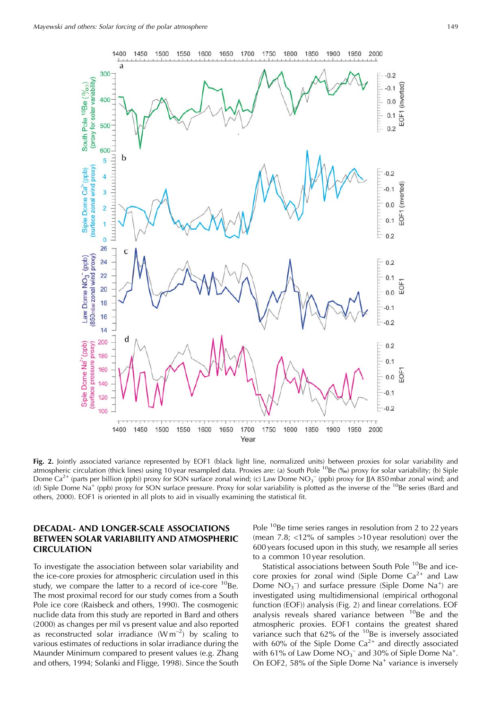

Fig. 2. Jointly associated variance represented by EOF1 (black light line, normalized units) between proxies for solar variability and atmospheric circulation (thick lines) using 10 year resampled data. Proxies are: (a) South Pole  $^{10}$ Be (‰) proxy for solar variability; (b) Siple Dome Ca<sup>2+</sup> (parts per billion (ppb)) proxy for SON surface zonal wind; (c) Law Dome NO<sub>3</sub><sup>-</sup> (ppb) proxy for JJA 850 mbar zonal wind; and (d) Siple Dome Na<sup>+</sup> (ppb) proxy for SON surface pressure. Proxy for solar variability is plotted as the inverse of the <sup>10</sup>Be series (Bard and others, 2000). EOF1 is oriented in all plots to aid in visually examining the statistical fit.

# **DECADAL- AND LONGER-SCALE ASSOCIATIONS** BETWEEN SOLAR VARIABILITY AND ATMOSPHERIC **CIRCULATION**

To investigate the association between solar variability and the ice-core proxies for atmospheric circulation used in this study, we compare the latter to a record of ice-core <sup>10</sup>Be. The most proximal record for our study comes from a South Pole ice core (Raisbeck and others, 1990). The cosmogenic nuclide data from this study are reported in Bard and others (2000) as changes per mil vs present value and also reported as reconstructed solar irradiance  $(Wm^{-2})$  by scaling to various estimates of reductions in solar irradiance during the Maunder Minimum compared to present values (e.g. Zhang and others, 1994; Solanki and Fligge, 1998). Since the South

Pole <sup>10</sup>Be time series ranges in resolution from 2 to 22 years (mean  $7.8$ ; <12% of samples >10 year resolution) over the 600 years focused upon in this study, we resample all series to a common 10 year resolution.

Statistical associations between South Pole <sup>10</sup>Be and icecore proxies for zonal wind (Siple Dome  $Ca^{2+}$  and Law Dome  $NO<sub>3</sub><sup>-</sup>$  and surface pressure (Siple Dome Na<sup>+</sup>) are investigated using multidimensional (empirical orthogonal function (EOF)) analysis (Fig. 2) and linear correlations. EOF analysis reveals shared variance between <sup>10</sup>Be and the atmospheric proxies. EOF1 contains the greatest shared variance such that 62% of the <sup>10</sup>Be is inversely associated with 60% of the Siple Dome  $Ca^{2+}$  and directly associated with 61% of Law Dome  $NO<sub>3</sub><sup>-</sup>$  and 30% of Siple Dome Na<sup>+</sup>. On EOF2, 58% of the Siple Dome Na<sup>+</sup> variance is inversely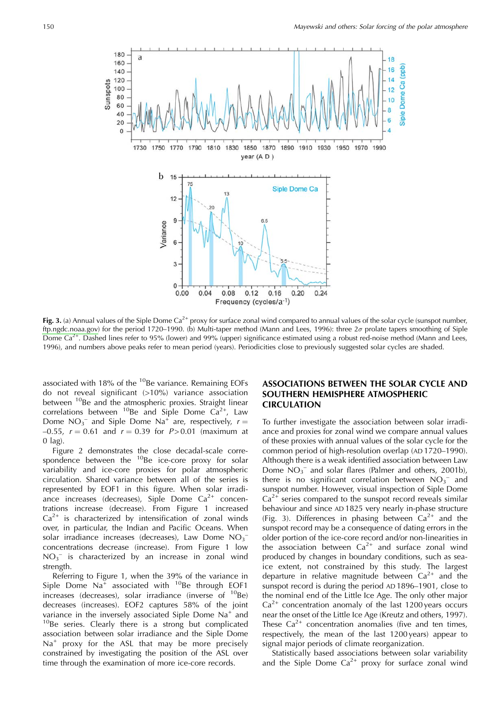

Fig. 3. (a) Annual values of the Siple Dome  $Ca^{2+}$  proxy for surface zonal wind compared to annual values of the solar cycle (sunspot number, ftp.ngdc.noaa.gov) for the period 1720–1990. (b) Multi-taper method (Mann and Lees, 1996): three  $2\sigma$  prolate tapers smoothing of Siple Dome Ca<sup>2+</sup>. Dashed lines refer to 95% (lower) and 99% (upper) significance estimated using a robust red-noise method (Mann and Lees, 1996), and numbers above peaks refer to mean period (years). Periodicities close to previously suggested solar cycles are shaded.

associated with 18% of the <sup>10</sup>Be variance. Remaining EOFs do not reveal significant  $(>10\%)$  variance association between <sup>10</sup>Be and the atmospheric proxies. Straight linear correlations between <sup>10</sup>Be and Siple Dome  $Ca^{2+}$ , Law Dome  $NO_3^-$  and Siple Dome Na<sup>+</sup> are, respectively,  $r =$ -0.55,  $r = 0.61$  and  $r = 0.39$  for  $P > 0.01$  (maximum at  $0$  lag).

Figure 2 demonstrates the close decadal-scale correspondence between the <sup>10</sup>Be ice-core proxy for solar variability and ice-core proxies for polar atmospheric circulation. Shared variance between all of the series is represented by EOF1 in this figure. When solar irradiance increases (decreases), Siple Dome  $Ca^{2+}$  concentrations increase (decrease). From Figure 1 increased  $Ca<sup>2+</sup>$  is characterized by intensification of zonal winds over, in particular, the Indian and Pacific Oceans. When solar irradiance increases (decreases), Law Dome  $NO_3^$ concentrations decrease (increase). From Figure 1 low  $NO<sub>3</sub>$  is characterized by an increase in zonal wind strength.

Referring to Figure 1, when the 39% of the variance in Siple Dome  $Na^{\bar{+}}$  associated with <sup>10</sup>Be through EOF1 increases (decreases), solar irradiance (inverse of  $^{10}$ Be) decreases (increases). EOF2 captures 58% of the joint variance in the inversely associated Siple Dome Na<sup>+</sup> and <sup>10</sup>Be series. Clearly there is a strong but complicated association between solar irradiance and the Siple Dome  $Na<sup>+</sup>$  proxy for the ASL that may be more precisely constrained by investigating the position of the ASL over time through the examination of more ice-core records.

# ASSOCIATIONS BETWEEN THE SOLAR CYCLE AND SOUTHERN HEMISPHERE ATMOSPHERIC **CIRCULATION**

To further investigate the association between solar irradiance and proxies for zonal wind we compare annual values of these proxies with annual values of the solar cycle for the common period of high-resolution overlap (AD 1720-1990). Although there is a weak identified association between Law Dome  $NO_3^-$  and solar flares (Palmer and others, 2001b), there is no significant correlation between  $NO<sub>3</sub><sup>-</sup>$  and sunspot number. However, visual inspection of Siple Dome  $Ca<sup>2+</sup>$  series compared to the sunspot record reveals similar behaviour and since AD 1825 very nearly in-phase structure (Fig. 3). Differences in phasing between  $Ca^{2+}$  and the sunspot record may be a consequence of dating errors in the older portion of the ice-core record and/or non-linearities in the association between  $Ca^{2+}$  and surface zonal wind produced by changes in boundary conditions, such as seaice extent, not constrained by this study. The largest departure in relative magnitude between  $Ca^{2+}$  and the sunspot record is during the period AD 1896-1901, close to the nominal end of the Little Ice Age. The only other major  $Ca<sup>2+</sup>$  concentration anomaly of the last 1200 years occurs near the onset of the Little Ice Age (Kreutz and others, 1997). These  $Ca^{2+}$  concentration anomalies (five and ten times, respectively, the mean of the last 1200 years) appear to signal major periods of climate reorganization.

Statistically based associations between solar variability and the Siple Dome  $Ca^{2+}$  proxy for surface zonal wind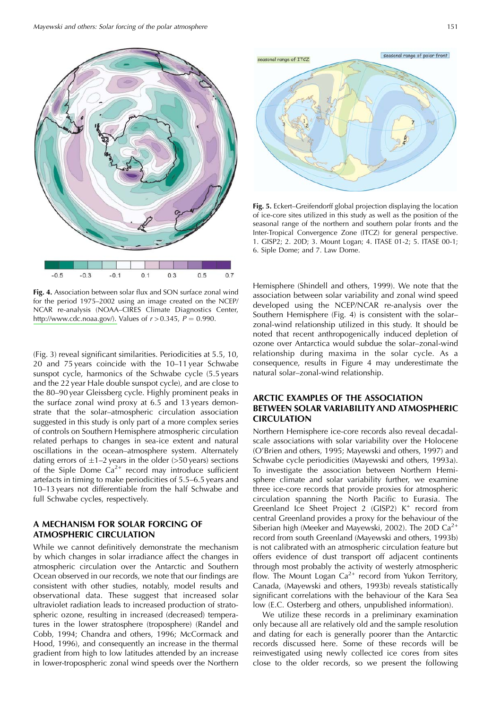

Fig. 4. Association between solar flux and SON surface zonal wind for the period 1975-2002 using an image created on the NCEP/ NCAR re-analysis (NOAA-CIRES Climate Diagnostics Center, http://www.cdc.noaa.gov/). Values of  $r > 0.345$ ,  $P = 0.990$ .

(Fig. 3) reveal significant similarities. Periodicities at 5.5, 10, 20 and 75 years coincide with the 10-11 year Schwabe sunspot cycle, harmonics of the Schwabe cycle (5.5 years and the 22 year Hale double sunspot cycle), and are close to the 80–90 year Gleissberg cycle. Highly prominent peaks in the surface zonal wind proxy at 6.5 and 13 years demonstrate that the solar-atmospheric circulation association suggested in this study is only part of a more complex series of controls on Southern Hemisphere atmospheric circulation related perhaps to changes in sea-ice extent and natural oscillations in the ocean-atmosphere system. Alternately dating errors of  $\pm$ 1–2 years in the older (>50 years) sections of the Siple Dome  $Ca^{2+}$  record may introduce sufficient artefacts in timing to make periodicities of 5.5–6.5 years and 10-13 years not differentiable from the half Schwabe and full Schwabe cycles, respectively.

# A MECHANISM FOR SOLAR FORCING OF **ATMOSPHERIC CIRCULATION**

While we cannot definitively demonstrate the mechanism by which changes in solar irradiance affect the changes in atmospheric circulation over the Antarctic and Southern Ocean observed in our records, we note that our findings are consistent with other studies, notably, model results and observational data. These suggest that increased solar ultraviolet radiation leads to increased production of stratospheric ozone, resulting in increased (decreased) temperatures in the lower stratosphere (troposphere) (Randel and Cobb, 1994; Chandra and others, 1996; McCormack and Hood, 1996), and consequently an increase in the thermal gradient from high to low latitudes attended by an increase in lower-tropospheric zonal wind speeds over the Northern



Fig. 5. Eckert-Greifendorff global projection displaying the location of ice-core sites utilized in this study as well as the position of the seasonal range of the northern and southern polar fronts and the Inter-Tropical Convergence Zone (ITCZ) for general perspective. 1. GISP2; 2. 20D; 3. Mount Logan; 4. ITASE 01-2; 5. ITASE 00-1; 6. Siple Dome; and 7. Law Dome.

Hemisphere (Shindell and others, 1999). We note that the association between solar variability and zonal wind speed developed using the NCEP/NCAR re-analysis over the Southern Hemisphere (Fig. 4) is consistent with the solarzonal-wind relationship utilized in this study. It should be noted that recent anthropogenically induced depletion of ozone over Antarctica would subdue the solar-zonal-wind relationship during maxima in the solar cycle. As a consequence, results in Figure 4 may underestimate the natural solar-zonal-wind relationship.

# ARCTIC EXAMPLES OF THE ASSOCIATION **BETWEEN SOLAR VARIABILITY AND ATMOSPHERIC CIRCULATION**

Northern Hemisphere ice-core records also reveal decadalscale associations with solar variability over the Holocene (O'Brien and others, 1995; Mayewski and others, 1997) and Schwabe cycle periodicities (Mayewski and others, 1993a). To investigate the association between Northern Hemisphere climate and solar variability further, we examine three ice-core records that provide proxies for atmospheric circulation spanning the North Pacific to Eurasia. The Greenland Ice Sheet Project 2 (GISP2) K<sup>+</sup> record from central Greenland provides a proxy for the behaviour of the Siberian high (Meeker and Mayewski, 2002). The 20D  $Ca^{2+}$ record from south Greenland (Mayewski and others, 1993b) is not calibrated with an atmospheric circulation feature but offers evidence of dust transport off adjacent continents through most probably the activity of westerly atmospheric flow. The Mount Logan  $Ca^{2+}$  record from Yukon Territory, Canada, (Mayewski and others, 1993b) reveals statistically significant correlations with the behaviour of the Kara Sea low (E.C. Osterberg and others, unpublished information).

We utilize these records in a preliminary examination only because all are relatively old and the sample resolution and dating for each is generally poorer than the Antarctic records discussed here. Some of these records will be reinvestigated using newly collected ice cores from sites close to the older records, so we present the following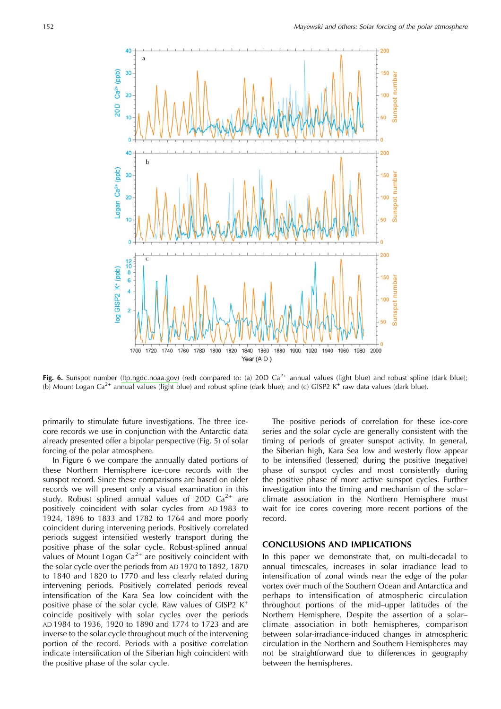

Fig. 6. Sunspot number (ftp.ngdc.noaa.gov) (red) compared to: (a) 20D  $Ca^{2+}$  annual values (light blue) and robust spline (dark blue); (b) Mount Logan Ca<sup>2+</sup> annual values (light blue) and robust spline (dark blue); and (c) GISP2 K<sup>+</sup> raw data values (dark blue).

primarily to stimulate future investigations. The three icecore records we use in conjunction with the Antarctic data already presented offer a bipolar perspective (Fig. 5) of solar forcing of the polar atmosphere.

In Figure 6 we compare the annually dated portions of these Northern Hemisphere ice-core records with the sunspot record. Since these comparisons are based on older records we will present only a visual examination in this study. Robust splined annual values of 20D  $Ca^{2+}$  are positively coincident with solar cycles from AD1983 to 1924, 1896 to 1833 and 1782 to 1764 and more poorly coincident during intervening periods. Positively correlated periods suggest intensified westerly transport during the positive phase of the solar cycle. Robust-splined annual values of Mount Logan  $Ca^{2+}$  are positively coincident with the solar cycle over the periods from AD 1970 to 1892, 1870 to 1840 and 1820 to 1770 and less clearly related during intervening periods. Positively correlated periods reveal intensification of the Kara Sea low coincident with the positive phase of the solar cycle. Raw values of GISP2  $K^+$ coincide positively with solar cycles over the periods AD 1984 to 1936, 1920 to 1890 and 1774 to 1723 and are inverse to the solar cycle throughout much of the intervening portion of the record. Periods with a positive correlation indicate intensification of the Siberian high coincident with the positive phase of the solar cycle.

The positive periods of correlation for these ice-core series and the solar cycle are generally consistent with the timing of periods of greater sunspot activity. In general, the Siberian high, Kara Sea low and westerly flow appear to be intensified (lessened) during the positive (negative) phase of sunspot cycles and most consistently during the positive phase of more active sunspot cycles. Further investigation into the timing and mechanism of the solarclimate association in the Northern Hemisphere must wait for ice cores covering more recent portions of the record.

### **CONCLUSIONS AND IMPLICATIONS**

In this paper we demonstrate that, on multi-decadal to annual timescales, increases in solar irradiance lead to intensification of zonal winds near the edge of the polar vortex over much of the Southern Ocean and Antarctica and perhaps to intensification of atmospheric circulation throughout portions of the mid-upper latitudes of the Northern Hemisphere. Despite the assertion of a solarclimate association in both hemispheres, comparison between solar-irradiance-induced changes in atmospheric circulation in the Northern and Southern Hemispheres may not be straightforward due to differences in geography between the hemispheres.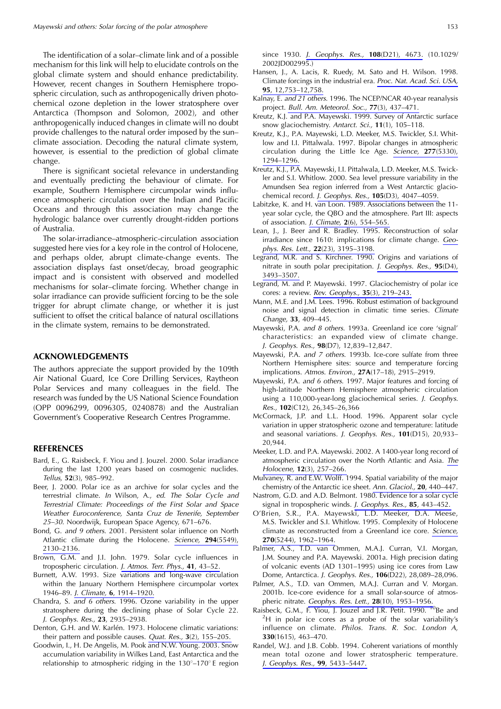The identification of a solar-climate link and of a possible mechanism for this link will help to elucidate controls on the global climate system and should enhance predictability. However, recent changes in Southern Hemisphere tropospheric circulation, such as anthropogenically driven photochemical ozone depletion in the lower stratosphere over Antarctica (Thompson and Solomon, 2002), and other anthropogenically induced changes in climate will no doubt provide challenges to the natural order imposed by the sunclimate association. Decoding the natural climate system, however, is essential to the prediction of global climate change.

There is significant societal relevance in understanding and eventually predicting the behaviour of climate. For example, Southern Hemisphere circumpolar winds influence atmospheric circulation over the Indian and Pacific Oceans and through this association may change the hydrologic balance over currently drought-ridden portions of Australia.

The solar-irradiance-atmospheric-circulation association suggested here vies for a key role in the control of Holocene, and perhaps older, abrupt climate-change events. The association displays fast onset/decay, broad geographic impact and is consistent with observed and modelled mechanisms for solar-climate forcing. Whether change in solar irradiance can provide sufficient forcing to be the sole trigger for abrupt climate change, or whether it is just sufficient to offset the critical balance of natural oscillations in the climate system, remains to be demonstrated.

#### **ACKNOWLEDGEMENTS**

The authors appreciate the support provided by the 109th Air National Guard, Ice Core Drilling Services, Raytheon Polar Services and many colleagues in the field. The research was funded by the US National Science Foundation (OPP 0096299, 0096305, 0240878) and the Australian Government's Cooperative Research Centres Programme.

#### **REFERENCES**

- Bard, E., G. Raisbeck, F. Yiou and J. Jouzel. 2000. Solar irradiance during the last 1200 years based on cosmogenic nuclides. Tellus, 52(3), 985-992.
- Beer, J. 2000. Polar ice as an archive for solar cycles and the terrestrial climate. In Wilson, A., ed. The Solar Cycle and Terrestrial Climate: Proceedings of the First Solar and Space Weather Euroconference, Santa Cruz de Tenerife, September 25-30. Noordwijk, European Space Agency, 671-676.
- Bond, G. and 9 others. 2001. Persistent solar influence on North Atlantic climate during the Holocene. Science, 294(5549), 2130-2136.
- Brown, G.M. and J.I. John. 1979. Solar cycle influences in tropospheric circulation. J. Atmos. Terr. Phys., 41, 43-52.
- Burnett, A.W. 1993. Size variations and long-wave circulation within the January Northern Hemisphere circumpolar vortex 1946-89. J. Climate, 6, 1914-1920.
- Chandra, S. and 6 others. 1996. Ozone variability in the upper stratosphere during the declining phase of Solar Cycle 22. J. Geophys. Res., 23, 2935-2938.
- Denton, G.H. and W. Karlén. 1973. Holocene climatic variations: their pattern and possible causes. Quat. Res., 3(2), 155-205.
- Goodwin, I., H. De Angelis, M. Pook and N.W. Young. 2003. Snow accumulation variability in Wilkes Land, East Antarctica and the relationship to atmospheric ridging in the  $130^{\circ} - 170^{\circ}$  E region

since 1930. J. Geophys. Res., 108(D21), 4673. (10.1029/ 2002JD002995.)

- Hansen, J., A. Lacis, R. Ruedy, M. Sato and H. Wilson. 1998. Climate forcings in the industrial era. Proc. Nat. Acad. Sci. USA, 95, 12, 753 - 12, 758.
- Kalnay, E. and 21 others. 1996. The NCEP/NCAR 40-year reanalysis project. Bull. Am. Meteorol. Soc., 77(3), 437-471.
- Kreutz, K.J. and P.A. Mayewski. 1999. Survey of Antarctic surface snow glaciochemistry. Antarct. Sci., 11(1), 105-118.
- Kreutz, K.J., P.A. Mayewski, L.D. Meeker, M.S. Twickler, S.I. Whitlow and I.I. Pittalwala. 1997. Bipolar changes in atmospheric circulation during the Little Ice Age. Science, 277(5330), 1294-1296.
- Kreutz, K.J., P.A. Mayewski, I.I. Pittalwala, L.D. Meeker, M.S. Twickler and S.I. Whitlow. 2000. Sea level pressure variability in the Amundsen Sea region inferred from a West Antarctic glaciochemical record. J. Geophys. Res., 105(D3), 4047-4059.
- Labitzke, K. and H. van Loon. 1989. Associations between the 11year solar cycle, the QBO and the atmosphere. Part III: aspects of association. J. Climate, 2(6), 554-565.
- Lean, J., J. Beer and R. Bradley. 1995. Reconstruction of solar irradiance since 1610: implications for climate change. Geophys. Res. Lett., 22(23), 3195-3198.
- Legrand, M.R. and S. Kirchner. 1990. Origins and variations of nitrate in south polar precipitation. J. Geophys. Res., 95(D4), 3493-3507.
- Legrand, M. and P. Mayewski. 1997. Glaciochemistry of polar ice cores: a review. Rev. Geophys., 35(3), 219-243.
- Mann, M.E. and J.M. Lees. 1996. Robust estimation of background noise and signal detection in climatic time series. Climate Change, 33, 409-445.
- Mayewski, P.A. and 8 others. 1993a. Greenland ice core 'signal' characteristics: an expanded view of climate change. J. Geophys. Res., 98(D7), 12,839-12,847.
- Mayewski, P.A. and 7 others. 1993b. Ice-core sulfate from three Northern Hemisphere sites: source and temperature forcing implications. Atmos. Environ., 27A(17-18), 2915-2919.
- Mayewski, P.A. and 6 others. 1997. Major features and forcing of high-latitude Northern Hemisphere atmospheric circulation using a 110,000-year-long glaciochemical series. J. Geophys. Res., 102(C12), 26,345-26,366
- McCormack, J.P. and L.L. Hood. 1996. Apparent solar cycle variation in upper stratospheric ozone and temperature: latitude and seasonal variations. J. Geophys. Res., 101(D15), 20,933-20,944.
- Meeker, L.D. and P.A. Mayewski. 2002. A 1400-year long record of atmospheric circulation over the North Atlantic and Asia. The Holocene, 12(3), 257-266.

Mulvaney, R. and E.W. Wolff. 1994. Spatial variability of the major chemistry of the Antarctic ice sheet. Ann. Glaciol., 20, 440-447.

- Nastrom, G.D. and A.D. Belmont. 1980. Evidence for a solar cycle signal in tropospheric winds. J. Geophys. Res., 85, 443-452.
- O'Brien, S.R., P.A. Mayewski, L.D. Meeker, D.A. Meese, M.S. Twickler and S.I. Whitlow. 1995. Complexity of Holocene climate as reconstructed from a Greenland ice core. Science, 270(5244), 1962-1964.
- Palmer, A.S., T.D. van Ommen, M.A.J. Curran, V.I. Morgan, J.M. Souney and P.A. Mayewski. 2001a. High precision dating of volcanic events (AD 1301-1995) using ice cores from Law Dome, Antarctica. J. Geophys. Res., 106(D22), 28,089-28,096.
- Palmer, A.S., T.D. van Ommen, M.A.J. Curran and V. Morgan. 2001b. Ice-core evidence for a small solar-source of atmospheric nitrate. Geophys. Res. Lett., 28(10), 1953-1956.
- Raisbeck, G.M., F. Yiou, J. Jouzel and J.R. Petit. 1990. <sup>TO</sup>Be and <sup>2</sup>H in polar ice cores as a probe of the solar variability's influence on climate. Philos. Trans. R. Soc. London A, 330(1615), 463-470.
- Randel, W.J. and J.B. Cobb. 1994. Coherent variations of monthly mean total ozone and lower stratospheric temperature. J. Geophys. Res., 99, 5433-5447.